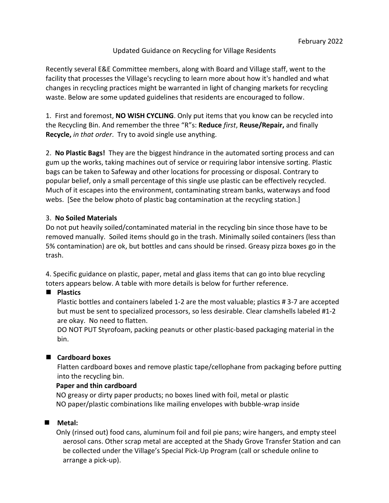# Updated Guidance on Recycling for Village Residents

Recently several E&E Committee members, along with Board and Village staff, went to the facility that processes the Village's recycling to learn more about how it's handled and what changes in recycling practices might be warranted in light of changing markets for recycling waste. Below are some updated guidelines that residents are encouraged to follow.

1. First and foremost, **NO WISH CYCLING**. Only put items that you know can be recycled into the Recycling Bin. And remember the three "R"s: **Reduce** *first*, **Reuse/Repair,** and finally **Recycle,** *in that order*. Try to avoid single use anything.

2. **No Plastic Bags!** They are the biggest hindrance in the automated sorting process and can gum up the works, taking machines out of service or requiring labor intensive sorting. Plastic bags can be taken to Safeway and other locations for processing or disposal. Contrary to popular belief, only a small percentage of this single use plastic can be effectively recycled. Much of it escapes into the environment, contaminating stream banks, waterways and food webs. [See the below photo of plastic bag contamination at the recycling station.]

#### 3. **No Soiled Materials**

Do not put heavily soiled/contaminated material in the recycling bin since those have to be removed manually. Soiled items should go in the trash. Minimally soiled containers (less than 5% contamination) are ok, but bottles and cans should be rinsed. Greasy pizza boxes go in the trash.

4. Specific guidance on plastic, paper, metal and glass items that can go into blue recycling toters appears below. A table with more details is below for further reference.

# ■ **Plastics**

Plastic bottles and containers labeled 1-2 are the most valuable; plastics # 3-7 are accepted but must be sent to specialized processors, so less desirable. Clear clamshells labeled #1-2 are okay. No need to flatten.

DO NOT PUT Styrofoam, packing peanuts or other plastic-based packaging material in the bin.

# ■ **Cardboard boxes**

Flatten cardboard boxes and remove plastic tape/cellophane from packaging before putting into the recycling bin.

# **Paper and thin cardboard**

NO greasy or dirty paper products; no boxes lined with foil, metal or plastic NO paper/plastic combinations like mailing envelopes with bubble-wrap inside

# ■ Metal:

Only (rinsed out) food cans, aluminum foil and foil pie pans; wire hangers, and empty steel aerosol cans. Other scrap metal are accepted at the Shady Grove Transfer Station and can be collected under the Village's Special Pick-Up Program (call or schedule online to arrange a pick-up).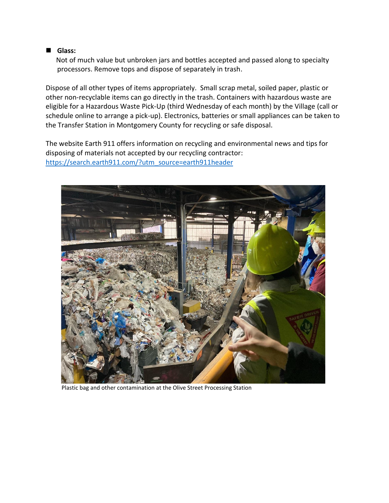#### ■ Glass:

Not of much value but unbroken jars and bottles accepted and passed along to specialty processors. Remove tops and dispose of separately in trash.

Dispose of all other types of items appropriately. Small scrap metal, soiled paper, plastic or other non-recyclable items can go directly in the trash. Containers with hazardous waste are eligible for a Hazardous Waste Pick-Up (third Wednesday of each month) by the Village (call or schedule online to arrange a pick-up). Electronics, batteries or small appliances can be taken to the Transfer Station in Montgomery County for recycling or safe disposal.

The website Earth 911 offers information on recycling and environmental news and tips for disposing of materials not accepted by our recycling contractor: [https://search.earth911.com/?utm\\_source=earth911header](https://search.earth911.com/?utm_source=earth911header)



Plastic bag and other contamination at the Olive Street Processing Station